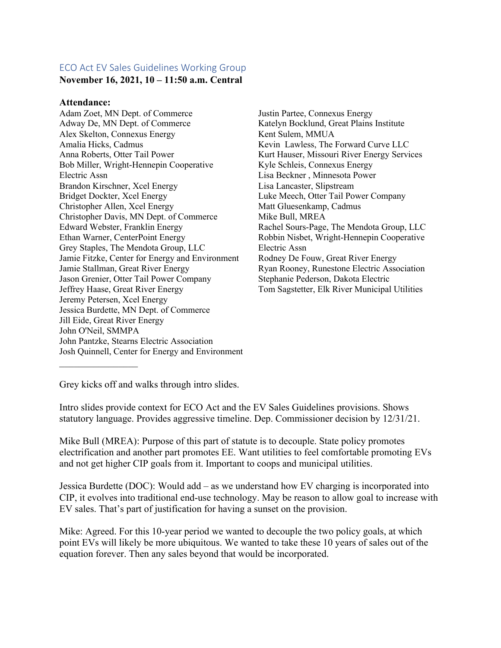## ECO Act EV Sales Guidelines Working Group

**November 16, 2021, 10 – 11:50 a.m. Central**

## **Attendance:**

Adam Zoet, MN Dept. of Commerce Adway De, MN Dept. of Commerce Alex Skelton, Connexus Energy Amalia Hicks, Cadmus Anna Roberts, Otter Tail Power Bob Miller, Wright-Hennepin Cooperative Electric Assn Brandon Kirschner, Xcel Energy Bridget Dockter, Xcel Energy Christopher Allen, Xcel Energy Christopher Davis, MN Dept. of Commerce Edward Webster, Franklin Energy Ethan Warner, CenterPoint Energy Grey Staples, The Mendota Group, LLC Jamie Fitzke, Center for Energy and Environment Jamie Stallman, Great River Energy Jason Grenier, Otter Tail Power Company Jeffrey Haase, Great River Energy Jeremy Petersen, Xcel Energy Jessica Burdette, MN Dept. of Commerce Jill Eide, Great River Energy John O'Neil, SMMPA John Pantzke, Stearns Electric Association Josh Quinnell, Center for Energy and Environment

Justin Partee, Connexus Energy Katelyn Bocklund, Great Plains Institute Kent Sulem, MMUA Kevin Lawless, The Forward Curve LLC Kurt Hauser, Missouri River Energy Services Kyle Schleis, Connexus Energy Lisa Beckner , Minnesota Power Lisa Lancaster, Slipstream Luke Meech, Otter Tail Power Company Matt Gluesenkamp, Cadmus Mike Bull, MREA Rachel Sours-Page, The Mendota Group, LLC Robbin Nisbet, Wright-Hennepin Cooperative Electric Assn Rodney De Fouw, Great River Energy Ryan Rooney, Runestone Electric Association Stephanie Pederson, Dakota Electric Tom Sagstetter, Elk River Municipal Utilities

Grey kicks off and walks through intro slides.

Intro slides provide context for ECO Act and the EV Sales Guidelines provisions. Shows statutory language. Provides aggressive timeline. Dep. Commissioner decision by 12/31/21.

Mike Bull (MREA): Purpose of this part of statute is to decouple. State policy promotes electrification and another part promotes EE. Want utilities to feel comfortable promoting EVs and not get higher CIP goals from it. Important to coops and municipal utilities.

Jessica Burdette (DOC): Would add – as we understand how EV charging is incorporated into CIP, it evolves into traditional end-use technology. May be reason to allow goal to increase with EV sales. That's part of justification for having a sunset on the provision.

Mike: Agreed. For this 10-year period we wanted to decouple the two policy goals, at which point EVs will likely be more ubiquitous. We wanted to take these 10 years of sales out of the equation forever. Then any sales beyond that would be incorporated.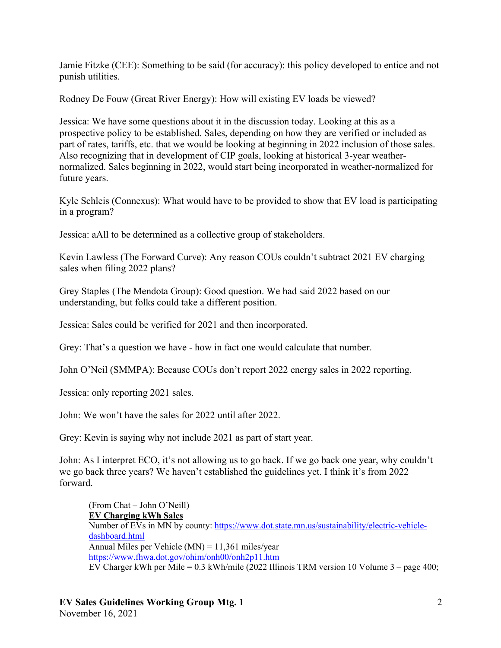Jamie Fitzke (CEE): Something to be said (for accuracy): this policy developed to entice and not punish utilities.

Rodney De Fouw (Great River Energy): How will existing EV loads be viewed?

Jessica: We have some questions about it in the discussion today. Looking at this as a prospective policy to be established. Sales, depending on how they are verified or included as part of rates, tariffs, etc. that we would be looking at beginning in 2022 inclusion of those sales. Also recognizing that in development of CIP goals, looking at historical 3-year weathernormalized. Sales beginning in 2022, would start being incorporated in weather-normalized for future years.

Kyle Schleis (Connexus): What would have to be provided to show that EV load is participating in a program?

Jessica: aAll to be determined as a collective group of stakeholders.

Kevin Lawless (The Forward Curve): Any reason COUs couldn't subtract 2021 EV charging sales when filing 2022 plans?

Grey Staples (The Mendota Group): Good question. We had said 2022 based on our understanding, but folks could take a different position.

Jessica: Sales could be verified for 2021 and then incorporated.

Grey: That's a question we have - how in fact one would calculate that number.

John O'Neil (SMMPA): Because COUs don't report 2022 energy sales in 2022 reporting.

Jessica: only reporting 2021 sales.

John: We won't have the sales for 2022 until after 2022.

Grey: Kevin is saying why not include 2021 as part of start year.

John: As I interpret ECO, it's not allowing us to go back. If we go back one year, why couldn't we go back three years? We haven't established the guidelines yet. I think it's from 2022 forward.

(From Chat – John O'Neill) **EV Charging kWh Sales** Number of EVs in MN by county: https://www.dot.state.mn.us/sustainability/electric-vehicledashboard.html Annual Miles per Vehicle  $(MN) = 11,361$  miles/year https://www.fhwa.dot.gov/ohim/onh00/onh2p11.htm EV Charger kWh per Mile = 0.3 kWh/mile (2022 Illinois TRM version 10 Volume 3 – page 400;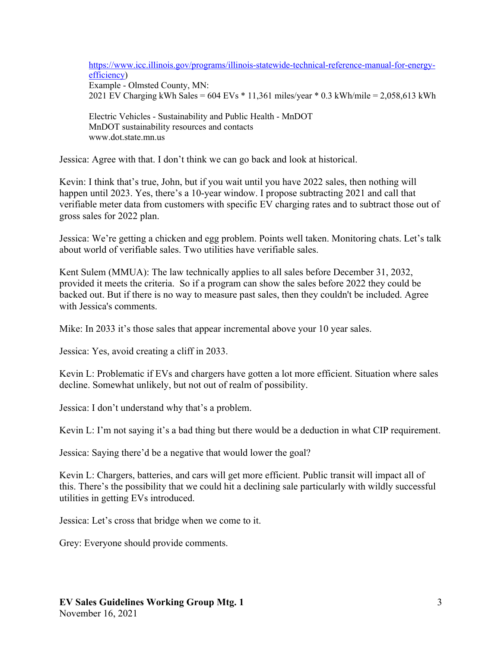https://www.icc.illinois.gov/programs/illinois-statewide-technical-reference-manual-for-energyefficiency)

Example - Olmsted County, MN: 2021 EV Charging kWh Sales = 604 EVs \* 11,361 miles/year \* 0.3 kWh/mile = 2,058,613 kWh

Electric Vehicles - Sustainability and Public Health - MnDOT MnDOT sustainability resources and contacts www.dot.state.mn.us

Jessica: Agree with that. I don't think we can go back and look at historical.

Kevin: I think that's true, John, but if you wait until you have 2022 sales, then nothing will happen until 2023. Yes, there's a 10-year window. I propose subtracting 2021 and call that verifiable meter data from customers with specific EV charging rates and to subtract those out of gross sales for 2022 plan.

Jessica: We're getting a chicken and egg problem. Points well taken. Monitoring chats. Let's talk about world of verifiable sales. Two utilities have verifiable sales.

Kent Sulem (MMUA): The law technically applies to all sales before December 31, 2032, provided it meets the criteria. So if a program can show the sales before 2022 they could be backed out. But if there is no way to measure past sales, then they couldn't be included. Agree with Jessica's comments.

Mike: In 2033 it's those sales that appear incremental above your 10 year sales.

Jessica: Yes, avoid creating a cliff in 2033.

Kevin L: Problematic if EVs and chargers have gotten a lot more efficient. Situation where sales decline. Somewhat unlikely, but not out of realm of possibility.

Jessica: I don't understand why that's a problem.

Kevin L: I'm not saying it's a bad thing but there would be a deduction in what CIP requirement.

Jessica: Saying there'd be a negative that would lower the goal?

Kevin L: Chargers, batteries, and cars will get more efficient. Public transit will impact all of this. There's the possibility that we could hit a declining sale particularly with wildly successful utilities in getting EVs introduced.

Jessica: Let's cross that bridge when we come to it.

Grey: Everyone should provide comments.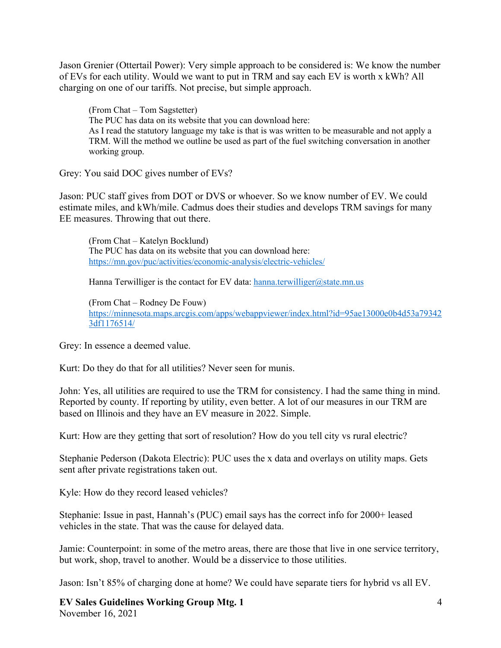Jason Grenier (Ottertail Power): Very simple approach to be considered is: We know the number of EVs for each utility. Would we want to put in TRM and say each EV is worth x kWh? All charging on one of our tariffs. Not precise, but simple approach.

(From Chat – Tom Sagstetter) The PUC has data on its website that you can download here: As I read the statutory language my take is that is was written to be measurable and not apply a TRM. Will the method we outline be used as part of the fuel switching conversation in another working group.

Grey: You said DOC gives number of EVs?

Jason: PUC staff gives from DOT or DVS or whoever. So we know number of EV. We could estimate miles, and kWh/mile. Cadmus does their studies and develops TRM savings for many EE measures. Throwing that out there.

(From Chat – Katelyn Bocklund) The PUC has data on its website that you can download here: https://mn.gov/puc/activities/economic-analysis/electric-vehicles/

Hanna Terwilliger is the contact for EV data: hanna.terwilliger@state.mn.us

(From Chat – Rodney De Fouw) https://minnesota.maps.arcgis.com/apps/webappviewer/index.html?id=95ae13000e0b4d53a79342 3df1176514/

Grey: In essence a deemed value.

Kurt: Do they do that for all utilities? Never seen for munis.

John: Yes, all utilities are required to use the TRM for consistency. I had the same thing in mind. Reported by county. If reporting by utility, even better. A lot of our measures in our TRM are based on Illinois and they have an EV measure in 2022. Simple.

Kurt: How are they getting that sort of resolution? How do you tell city vs rural electric?

Stephanie Pederson (Dakota Electric): PUC uses the x data and overlays on utility maps. Gets sent after private registrations taken out.

Kyle: How do they record leased vehicles?

Stephanie: Issue in past, Hannah's (PUC) email says has the correct info for 2000+ leased vehicles in the state. That was the cause for delayed data.

Jamie: Counterpoint: in some of the metro areas, there are those that live in one service territory, but work, shop, travel to another. Would be a disservice to those utilities.

Jason: Isn't 85% of charging done at home? We could have separate tiers for hybrid vs all EV.

**EV Sales Guidelines Working Group Mtg. 1** November 16, 2021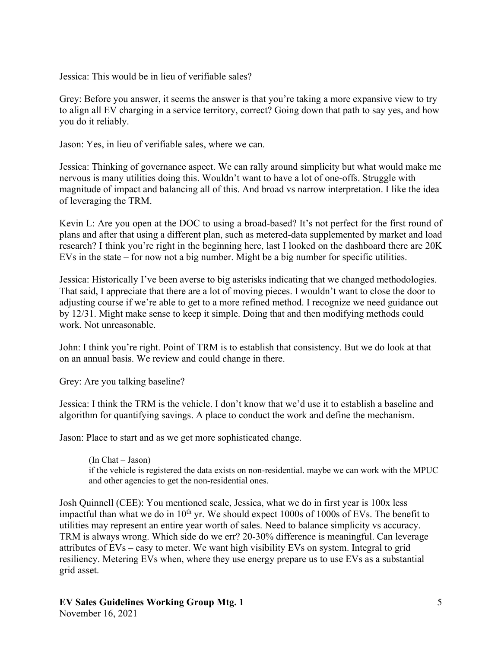Jessica: This would be in lieu of verifiable sales?

Grey: Before you answer, it seems the answer is that you're taking a more expansive view to try to align all EV charging in a service territory, correct? Going down that path to say yes, and how you do it reliably.

Jason: Yes, in lieu of verifiable sales, where we can.

Jessica: Thinking of governance aspect. We can rally around simplicity but what would make me nervous is many utilities doing this. Wouldn't want to have a lot of one-offs. Struggle with magnitude of impact and balancing all of this. And broad vs narrow interpretation. I like the idea of leveraging the TRM.

Kevin L: Are you open at the DOC to using a broad-based? It's not perfect for the first round of plans and after that using a different plan, such as metered-data supplemented by market and load research? I think you're right in the beginning here, last I looked on the dashboard there are 20K EVs in the state – for now not a big number. Might be a big number for specific utilities.

Jessica: Historically I've been averse to big asterisks indicating that we changed methodologies. That said, I appreciate that there are a lot of moving pieces. I wouldn't want to close the door to adjusting course if we're able to get to a more refined method. I recognize we need guidance out by 12/31. Might make sense to keep it simple. Doing that and then modifying methods could work. Not unreasonable.

John: I think you're right. Point of TRM is to establish that consistency. But we do look at that on an annual basis. We review and could change in there.

Grey: Are you talking baseline?

Jessica: I think the TRM is the vehicle. I don't know that we'd use it to establish a baseline and algorithm for quantifying savings. A place to conduct the work and define the mechanism.

Jason: Place to start and as we get more sophisticated change.

(In Chat – Jason) if the vehicle is registered the data exists on non-residential. maybe we can work with the MPUC and other agencies to get the non-residential ones.

Josh Quinnell (CEE): You mentioned scale, Jessica, what we do in first year is 100x less impactful than what we do in  $10<sup>th</sup>$  yr. We should expect 1000s of 1000s of EVs. The benefit to utilities may represent an entire year worth of sales. Need to balance simplicity vs accuracy. TRM is always wrong. Which side do we err? 20-30% difference is meaningful. Can leverage attributes of EVs – easy to meter. We want high visibility EVs on system. Integral to grid resiliency. Metering EVs when, where they use energy prepare us to use EVs as a substantial grid asset.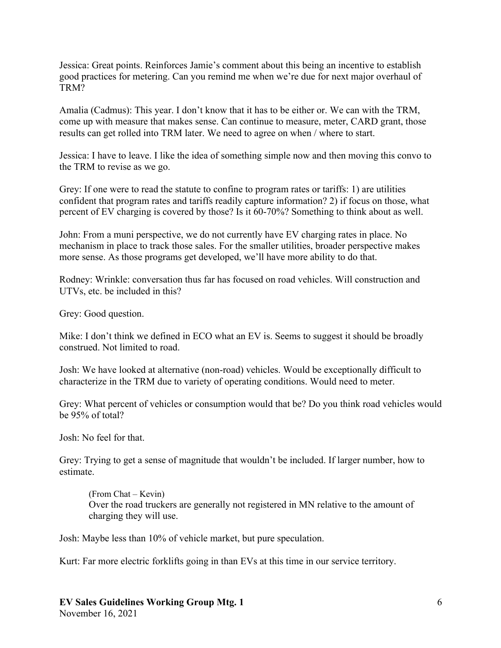Jessica: Great points. Reinforces Jamie's comment about this being an incentive to establish good practices for metering. Can you remind me when we're due for next major overhaul of TRM?

Amalia (Cadmus): This year. I don't know that it has to be either or. We can with the TRM, come up with measure that makes sense. Can continue to measure, meter, CARD grant, those results can get rolled into TRM later. We need to agree on when / where to start.

Jessica: I have to leave. I like the idea of something simple now and then moving this convo to the TRM to revise as we go.

Grey: If one were to read the statute to confine to program rates or tariffs: 1) are utilities confident that program rates and tariffs readily capture information? 2) if focus on those, what percent of EV charging is covered by those? Is it 60-70%? Something to think about as well.

John: From a muni perspective, we do not currently have EV charging rates in place. No mechanism in place to track those sales. For the smaller utilities, broader perspective makes more sense. As those programs get developed, we'll have more ability to do that.

Rodney: Wrinkle: conversation thus far has focused on road vehicles. Will construction and UTVs, etc. be included in this?

Grey: Good question.

Mike: I don't think we defined in ECO what an EV is. Seems to suggest it should be broadly construed. Not limited to road.

Josh: We have looked at alternative (non-road) vehicles. Would be exceptionally difficult to characterize in the TRM due to variety of operating conditions. Would need to meter.

Grey: What percent of vehicles or consumption would that be? Do you think road vehicles would be 95% of total?

Josh: No feel for that.

Grey: Trying to get a sense of magnitude that wouldn't be included. If larger number, how to estimate.

(From Chat – Kevin) Over the road truckers are generally not registered in MN relative to the amount of charging they will use.

Josh: Maybe less than 10% of vehicle market, but pure speculation.

Kurt: Far more electric forklifts going in than EVs at this time in our service territory.

**EV Sales Guidelines Working Group Mtg. 1** November 16, 2021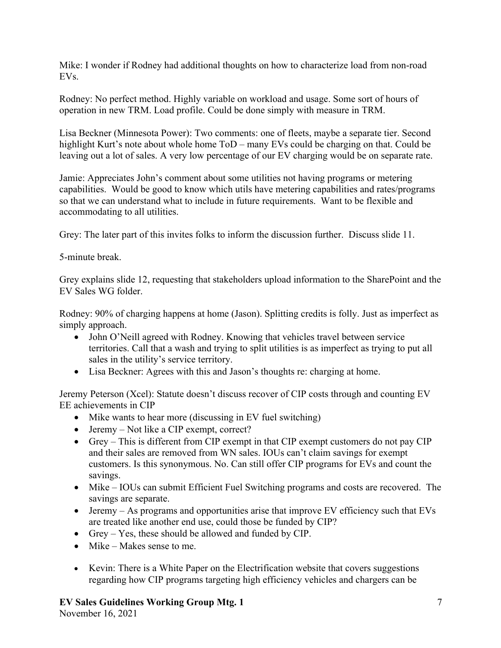Mike: I wonder if Rodney had additional thoughts on how to characterize load from non-road EVs.

Rodney: No perfect method. Highly variable on workload and usage. Some sort of hours of operation in new TRM. Load profile. Could be done simply with measure in TRM.

Lisa Beckner (Minnesota Power): Two comments: one of fleets, maybe a separate tier. Second highlight Kurt's note about whole home  $ToD$  – many EVs could be charging on that. Could be leaving out a lot of sales. A very low percentage of our EV charging would be on separate rate.

Jamie: Appreciates John's comment about some utilities not having programs or metering capabilities. Would be good to know which utils have metering capabilities and rates/programs so that we can understand what to include in future requirements. Want to be flexible and accommodating to all utilities.

Grey: The later part of this invites folks to inform the discussion further. Discuss slide 11.

5-minute break.

Grey explains slide 12, requesting that stakeholders upload information to the SharePoint and the EV Sales WG folder.

Rodney: 90% of charging happens at home (Jason). Splitting credits is folly. Just as imperfect as simply approach.

- John O'Neill agreed with Rodney. Knowing that vehicles travel between service territories. Call that a wash and trying to split utilities is as imperfect as trying to put all sales in the utility's service territory.
- Lisa Beckner: Agrees with this and Jason's thoughts re: charging at home.

Jeremy Peterson (Xcel): Statute doesn't discuss recover of CIP costs through and counting EV EE achievements in CIP

- Mike wants to hear more (discussing in EV fuel switching)
- Jeremy Not like a CIP exempt, correct?
- Grey This is different from CIP exempt in that CIP exempt customers do not pay CIP and their sales are removed from WN sales. IOUs can't claim savings for exempt customers. Is this synonymous. No. Can still offer CIP programs for EVs and count the savings.
- Mike IOUs can submit Efficient Fuel Switching programs and costs are recovered. The savings are separate.
- Jeremy As programs and opportunities arise that improve EV efficiency such that EVs are treated like another end use, could those be funded by CIP?
- Grey Yes, these should be allowed and funded by CIP.
- Mike Makes sense to me.
- Kevin: There is a White Paper on the Electrification website that covers suggestions regarding how CIP programs targeting high efficiency vehicles and chargers can be

## **EV Sales Guidelines Working Group Mtg. 1**

November 16, 2021